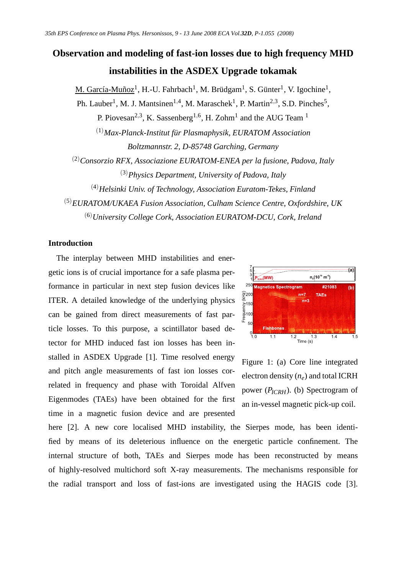# **Observation and modeling of fast-ion losses due to high frequency MHD instabilities in the ASDEX Upgrade tokamak**

M. García-Muñoz<sup>1</sup>, H.-U. Fahrbach<sup>1</sup>, M. Brüdgam<sup>1</sup>, S. Günter<sup>1</sup>, V. Igochine<sup>1</sup>,

Ph. Lauber<sup>1</sup>, M. J. Mantsinen<sup>1,4</sup>, M. Maraschek<sup>1</sup>, P. Martin<sup>2,3</sup>, S.D. Pinches<sup>5</sup>,

P. Piovesan<sup>2,3</sup>, K. Sassenberg<sup>1,6</sup>, H. Zohm<sup>1</sup> and the AUG Team<sup>1</sup>

(1)*Max-Planck-Institut für Plasmaphysik, EURATOM Association Boltzmannstr. 2, D-85748 Garching, Germany*

(2)*Consorzio RFX, Associazione EURATOM-ENEA per la fusione, Padova, Italy* (3)*Physics Department, University of Padova, Italy*

(4)*Helsinki Univ. of Technology, Association Euratom-Tekes, Finland*

(5)*EURATOM/UKAEA Fusion Association, Culham Science Centre, Oxfordshire, UK* (6)*University College Cork, Association EURATOM-DCU, Cork, Ireland*

# **Introduction**

The interplay between MHD instabilities and energetic ions is of crucial importance for a safe plasma performance in particular in next step fusion devices like ITER. A detailed knowledge of the underlying physics can be gained from direct measurements of fast particle losses. To this purpose, a scintillator based detector for MHD induced fast ion losses has been installed in ASDEX Upgrade [1]. Time resolved energy and pitch angle measurements of fast ion losses correlated in frequency and phase with Toroidal Alfven Eigenmodes (TAEs) have been obtained for the first time in a magnetic fusion device and are presented



Figure 1: (a) Core line integrated electron density (*ne*) and total ICRH power (*PICRH*). (b) Spectrogram of an in-vessel magnetic pick-up coil.

here [2]. A new core localised MHD instability, the Sierpes mode, has been identified by means of its deleterious influence on the energetic particle confinement. The internal structure of both, TAEs and Sierpes mode has been reconstructed by means of highly-resolved multichord soft X-ray measurements. The mechanisms responsible for the radial transport and loss of fast-ions are investigated using the HAGIS code [3].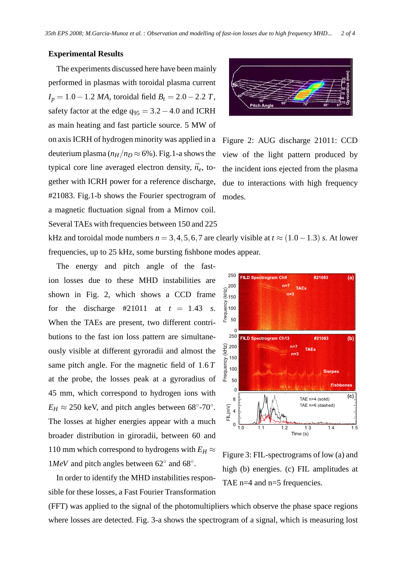#### **Experimental Results**

The experiments discussed here have been mainly performed in plasmas with toroidal plasma current *I<sup>p</sup>* = 1.0−1.2 *MA*, toroidal field *B<sup>t</sup>* = 2.0−2.2 *T*, safety factor at the edge *q*<sup>95</sup> = 3.2−4.0 and ICRH as main heating and fast particle source. 5 MW of on axis ICRH of hydrogen minority was applied in a deuterium plasma ( $n_H/n_D \approx 6\%$ ). Fig.1-a shows the typical core line averaged electron density,  $\bar{n}_e$ , together with ICRH power for a reference discharge, #21083. Fig.1-b shows the Fourier spectrogram of a magnetic fluctuation signal from a Mirnov coil. Several TAEs with frequencies between 150 and 225



Figure 2: AUG discharge 21011: CCD view of the light pattern produced by the incident ions ejected from the plasma due to interactions with high frequency modes.

kHz and toroidal mode numbers  $n = 3, 4, 5, 6, 7$  are clearly visible at  $t \approx (1.0 - 1.3)$  *s*. At lower frequencies, up to 25 kHz, some bursting fishbone modes appear.

The energy and pitch angle of the fastion losses due to these MHD instabilities are shown in Fig. 2, which shows a CCD frame for the discharge #21011 at  $t = 1.43$  *s*. When the TAEs are present, two different contributions to the fast ion loss pattern are simultaneously visible at different gyroradii and almost the same pitch angle. For the magnetic field of 1.6 *T* at the probe, the losses peak at a gyroradius of 45 mm, which correspond to hydrogen ions with  $E_H \approx 250$  keV, and pitch angles between 68°-70°. The losses at higher energies appear with a much broader distribution in giroradii, between 60 and 110 mm which correspond to hydrogens with  $E_H \approx$  $1MeV$  and pitch angles between 62 $\degree$  and 68 $\degree$ .



In order to identify the MHD instabilities responsible for these losses, a Fast Fourier Transformation

Figure 3: FIL-spectrograms of low (a) and high (b) energies. (c) FIL amplitudes at TAE n=4 and n=5 frequencies.

(FFT) was applied to the signal of the photomultipliers which observe the phase space regions where losses are detected. Fig. 3-a shows the spectrogram of a signal, which is measuring lost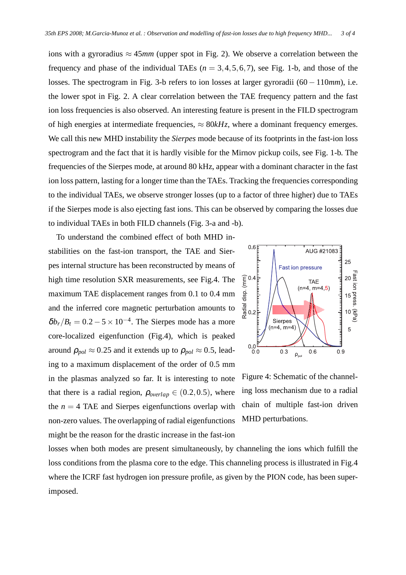ions with a gyroradius  $\approx 45$ *mm* (upper spot in Fig. 2). We observe a correlation between the frequency and phase of the individual TAEs  $(n = 3, 4, 5, 6, 7)$ , see Fig. 1-b, and those of the losses. The spectrogram in Fig. 3-b refers to ion losses at larger gyroradii (60 −110*mm*), i.e. the lower spot in Fig. 2. A clear correlation between the TAE frequency pattern and the fast ion loss frequencies is also observed. An interesting feature is present in the FILD spectrogram of high energies at intermediate frequencies,  $\approx 80kHz$ , where a dominant frequency emerges. We call this new MHD instability the *Sierpes* mode because of its footprints in the fast-ion loss spectrogram and the fact that it is hardly visible for the Mirnov pickup coils, see Fig. 1-b. The frequencies of the Sierpes mode, at around 80 kHz, appear with a dominant character in the fast ion loss pattern, lasting for a longer time than the TAEs. Tracking the frequencies corresponding to the individual TAEs, we observe stronger losses (up to a factor of three higher) due to TAEs if the Sierpes mode is also ejecting fast ions. This can be observed by comparing the losses due to individual TAEs in both FILD channels (Fig. 3-a and -b).

To understand the combined effect of both MHD instabilities on the fast-ion transport, the TAE and Sierpes internal structure has been reconstructed by means of high time resolution SXR measurements, see Fig.4. The maximum TAE displacement ranges from 0.1 to 0.4 mm and the inferred core magnetic perturbation amounts to  $\delta b_r/B_t = 0.2 - 5 \times 10^{-4}$ . The Sierpes mode has a more core-localized eigenfunction (Fig.4), which is peaked around  $\rho_{pol} \approx 0.25$  and it extends up to  $\rho_{pol} \approx 0.5$ , leading to a maximum displacement of the order of 0.5 mm in the plasmas analyzed so far. It is interesting to note that there is a radial region,  $\rho_{\text{overlap}} \in (0.2, 0.5)$ , where the  $n = 4$  TAE and Sierpes eigenfunctions overlap with non-zero values. The overlapping of radial eigenfunctions might be the reason for the drastic increase in the fast-ion



Figure 4: Schematic of the channeling loss mechanism due to a radial chain of multiple fast-ion driven MHD perturbations.

losses when both modes are present simultaneously, by channeling the ions which fulfill the loss conditions from the plasma core to the edge. This channeling process is illustrated in Fig.4 where the ICRF fast hydrogen ion pressure profile, as given by the PION code, has been superimposed.